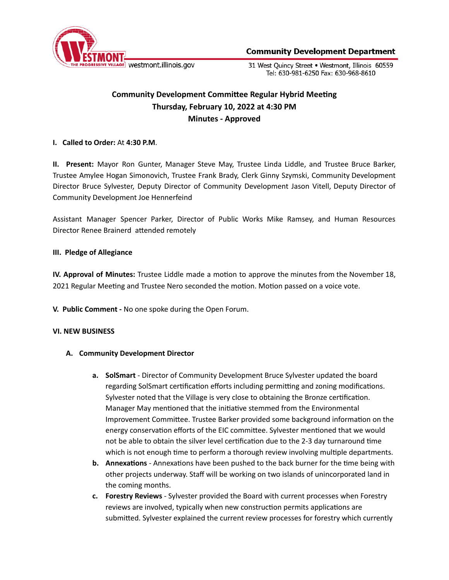

**Community Development Department** 

31 West Quincy Street . Westmont, Illinois 60559 Tel: 630-981-6250 Fax: 630-968-8610

# **Community Development Committee Regular Hybrid Meeting Thursday, February 10, 2022 at 4:30 PM Minutes - Approved**

## **I. Called to Order:** At **4:30 P.M**.

**II. Present:** Mayor Ron Gunter, Manager Steve May, Trustee Linda Liddle, and Trustee Bruce Barker, Trustee Amylee Hogan Simonovich, Trustee Frank Brady, Clerk Ginny Szymski, Community Development Director Bruce Sylvester, Deputy Director of Community Development Jason Vitell, Deputy Director of Community Development Joe Hennerfeind

Assistant Manager Spencer Parker, Director of Public Works Mike Ramsey, and Human Resources Director Renee Brainerd attended remotely

## **III. Pledge of Allegiance**

**IV. Approval of Minutes:** Trustee Liddle made a motion to approve the minutes from the November 18, 2021 Regular Meeting and Trustee Nero seconded the motion. Motion passed on a voice vote.

**V. Public Comment -** No one spoke during the Open Forum.

#### **VI. NEW BUSINESS**

## **A. Community Development Director**

- **a. SolSmart** Director of Community Development Bruce Sylvester updated the board regarding SolSmart certification efforts including permitting and zoning modifications. Sylvester noted that the Village is very close to obtaining the Bronze certification. Manager May mentioned that the initiative stemmed from the Environmental Improvement Committee. Trustee Barker provided some background information on the energy conservation efforts of the EIC committee. Sylvester mentioned that we would not be able to obtain the silver level certification due to the 2-3 day turnaround time which is not enough time to perform a thorough review involving multiple departments.
- **b.** Annexations Annexations have been pushed to the back burner for the time being with other projects underway. Staff will be working on two islands of unincorporated land in the coming months.
- **c. Forestry Reviews** Sylvester provided the Board with current processes when Forestry reviews are involved, typically when new construction permits applications are submitted. Sylvester explained the current review processes for forestry which currently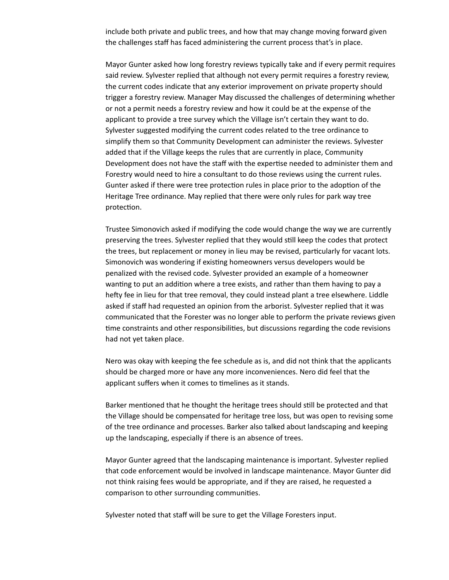include both private and public trees, and how that may change moving forward given the challenges staff has faced administering the current process that's in place.

Mayor Gunter asked how long forestry reviews typically take and if every permit requires said review. Sylvester replied that although not every permit requires a forestry review, the current codes indicate that any exterior improvement on private property should trigger a forestry review. Manager May discussed the challenges of determining whether or not a permit needs a forestry review and how it could be at the expense of the applicant to provide a tree survey which the Village isn't certain they want to do. Sylvester suggested modifying the current codes related to the tree ordinance to simplify them so that Community Development can administer the reviews. Sylvester added that if the Village keeps the rules that are currently in place, Community Development does not have the staff with the expertise needed to administer them and Forestry would need to hire a consultant to do those reviews using the current rules. Gunter asked if there were tree protection rules in place prior to the adoption of the Heritage Tree ordinance. May replied that there were only rules for park way tree protection.

Trustee Simonovich asked if modifying the code would change the way we are currently preserving the trees. Sylvester replied that they would still keep the codes that protect the trees, but replacement or money in lieu may be revised, particularly for vacant lots. Simonovich was wondering if existing homeowners versus developers would be penalized with the revised code. Sylvester provided an example of a homeowner wanting to put an addition where a tree exists, and rather than them having to pay a hefty fee in lieu for that tree removal, they could instead plant a tree elsewhere. Liddle asked if staff had requested an opinion from the arborist. Sylvester replied that it was communicated that the Forester was no longer able to perform the private reviews given time constraints and other responsibilities, but discussions regarding the code revisions had not yet taken place.

Nero was okay with keeping the fee schedule as is, and did not think that the applicants should be charged more or have any more inconveniences. Nero did feel that the applicant suffers when it comes to timelines as it stands.

Barker mentioned that he thought the heritage trees should still be protected and that the Village should be compensated for heritage tree loss, but was open to revising some of the tree ordinance and processes. Barker also talked about landscaping and keeping up the landscaping, especially if there is an absence of trees.

Mayor Gunter agreed that the landscaping maintenance is important. Sylvester replied that code enforcement would be involved in landscape maintenance. Mayor Gunter did not think raising fees would be appropriate, and if they are raised, he requested a comparison to other surrounding communities.

Sylvester noted that staff will be sure to get the Village Foresters input.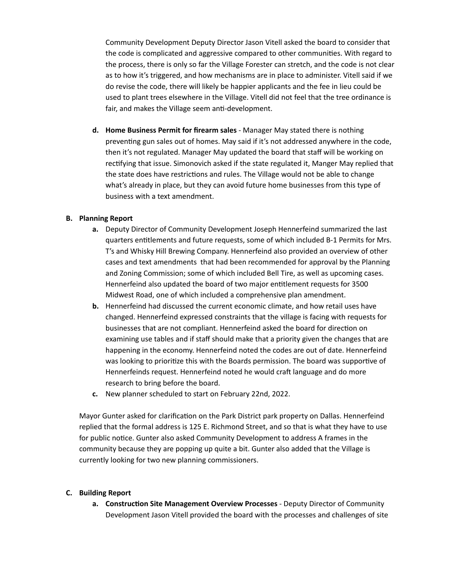Community Development Deputy Director Jason Vitell asked the board to consider that the code is complicated and aggressive compared to other communities. With regard to the process, there is only so far the Village Forester can stretch, and the code is not clear as to how it's triggered, and how mechanisms are in place to administer. Vitell said if we do revise the code, there will likely be happier applicants and the fee in lieu could be used to plant trees elsewhere in the Village. Vitell did not feel that the tree ordinance is fair, and makes the Village seem anti-development.

**d. Home Business Permit for firearm sales** - Manager May stated there is nothing preventing gun sales out of homes. May said if it's not addressed anywhere in the code, then it's not regulated. Manager May updated the board that staff will be working on rectifying that issue. Simonovich asked if the state regulated it, Manger May replied that the state does have restrictions and rules. The Village would not be able to change what's already in place, but they can avoid future home businesses from this type of business with a text amendment.

## **B. Planning Report**

- **a.** Deputy Director of Community Development Joseph Hennerfeind summarized the last quarters entitlements and future requests, some of which included B-1 Permits for Mrs. T's and Whisky Hill Brewing Company. Hennerfeind also provided an overview of other cases and text amendments that had been recommended for approval by the Planning and Zoning Commission; some of which included Bell Tire, as well as upcoming cases. Hennerfeind also updated the board of two major entitlement requests for 3500 Midwest Road, one of which included a comprehensive plan amendment.
- **b.** Hennerfeind had discussed the current economic climate, and how retail uses have changed. Hennerfeind expressed constraints that the village is facing with requests for businesses that are not compliant. Hennerfeind asked the board for direction on examining use tables and if staff should make that a priority given the changes that are happening in the economy. Hennerfeind noted the codes are out of date. Hennerfeind was looking to prioritize this with the Boards permission. The board was supportive of Hennerfeinds request. Hennerfeind noted he would craft language and do more research to bring before the board.
- **c.** New planner scheduled to start on February 22nd, 2022.

Mayor Gunter asked for clarification on the Park District park property on Dallas. Hennerfeind replied that the formal address is 125 E. Richmond Street, and so that is what they have to use for public notice. Gunter also asked Community Development to address A frames in the community because they are popping up quite a bit. Gunter also added that the Village is currently looking for two new planning commissioners.

## **C. Building Report**

**a.** Construction Site Management Overview Processes - Deputy Director of Community Development Jason Vitell provided the board with the processes and challenges of site